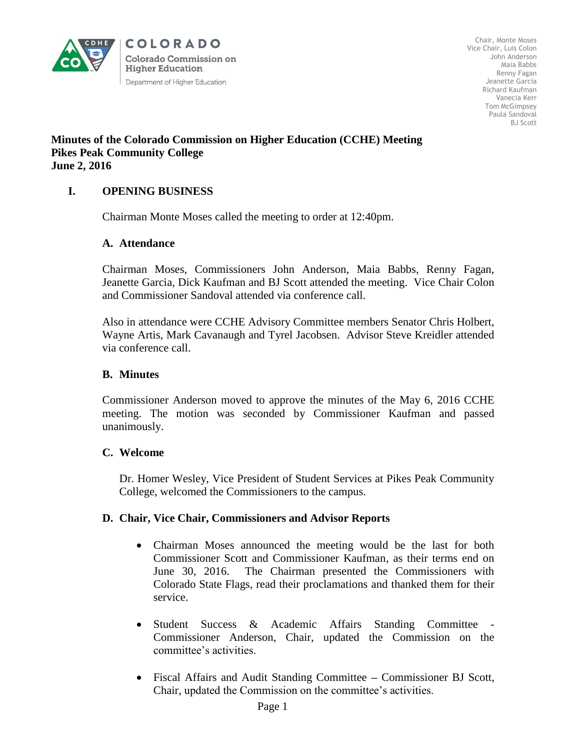

Chair, Monte Moses Vice Chair, Luis Colon John Anderson Maia Babbs Renny Fagan Jeanette Garcia Richard Kaufman Vanecia Kerr Tom McGimpsey Paula Sandoval BJ Scott

#### **Minutes of the Colorado Commission on Higher Education (CCHE) Meeting Pikes Peak Community College June 2, 2016**

# **I. OPENING BUSINESS**

Chairman Monte Moses called the meeting to order at 12:40pm.

#### **A. Attendance**

Chairman Moses, Commissioners John Anderson, Maia Babbs, Renny Fagan, Jeanette Garcia, Dick Kaufman and BJ Scott attended the meeting. Vice Chair Colon and Commissioner Sandoval attended via conference call.

Also in attendance were CCHE Advisory Committee members Senator Chris Holbert, Wayne Artis, Mark Cavanaugh and Tyrel Jacobsen. Advisor Steve Kreidler attended via conference call.

#### **B. Minutes**

Commissioner Anderson moved to approve the minutes of the May 6, 2016 CCHE meeting. The motion was seconded by Commissioner Kaufman and passed unanimously.

## **C. Welcome**

Dr. Homer Wesley, Vice President of Student Services at Pikes Peak Community College, welcomed the Commissioners to the campus.

## **D. Chair, Vice Chair, Commissioners and Advisor Reports**

- Chairman Moses announced the meeting would be the last for both Commissioner Scott and Commissioner Kaufman, as their terms end on June 30, 2016. The Chairman presented the Commissioners with Colorado State Flags, read their proclamations and thanked them for their service.
- Student Success & Academic Affairs Standing Committee Commissioner Anderson, Chair, updated the Commission on the committee's activities.
- Fiscal Affairs and Audit Standing Committee **–** Commissioner BJ Scott, Chair, updated the Commission on the committee's activities.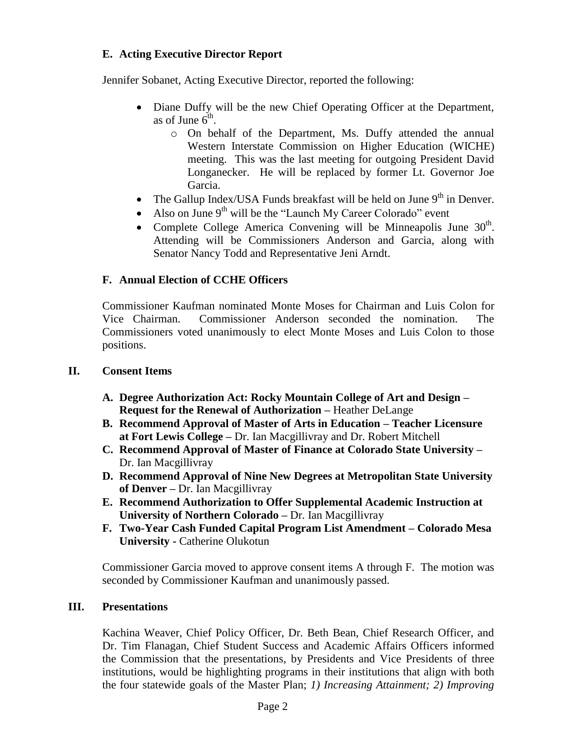# **E. Acting Executive Director Report**

Jennifer Sobanet, Acting Executive Director, reported the following:

- Diane Duffy will be the new Chief Operating Officer at the Department, as of June  $6^{\text{th}}$ .
	- o On behalf of the Department, Ms. Duffy attended the annual Western Interstate Commission on Higher Education (WICHE) meeting. This was the last meeting for outgoing President David Longanecker. He will be replaced by former Lt. Governor Joe Garcia.
- The Gallup Index/USA Funds breakfast will be held on June  $9<sup>th</sup>$  in Denver.
- Also on June  $9<sup>th</sup>$  will be the "Launch My Career Colorado" event
- Complete College America Convening will be Minneapolis June  $30<sup>th</sup>$ . Attending will be Commissioners Anderson and Garcia, along with Senator Nancy Todd and Representative Jeni Arndt.

## **F. Annual Election of CCHE Officers**

Commissioner Kaufman nominated Monte Moses for Chairman and Luis Colon for Vice Chairman. Commissioner Anderson seconded the nomination. The Commissioners voted unanimously to elect Monte Moses and Luis Colon to those positions.

#### **II. Consent Items**

- **A. Degree Authorization Act: Rocky Mountain College of Art and Design – Request for the Renewal of Authorization –** Heather DeLange
- **B. Recommend Approval of Master of Arts in Education – Teacher Licensure at Fort Lewis College –** Dr. Ian Macgillivray and Dr. Robert Mitchell
- **C. Recommend Approval of Master of Finance at Colorado State University –** Dr. Ian Macgillivray
- **D. Recommend Approval of Nine New Degrees at Metropolitan State University of Denver –** Dr. Ian Macgillivray
- **E. Recommend Authorization to Offer Supplemental Academic Instruction at University of Northern Colorado –** Dr. Ian Macgillivray
- **F. Two-Year Cash Funded Capital Program List Amendment – Colorado Mesa University -** Catherine Olukotun

 Commissioner Garcia moved to approve consent items A through F. The motion was seconded by Commissioner Kaufman and unanimously passed.

## **III. Presentations**

Kachina Weaver, Chief Policy Officer, Dr. Beth Bean, Chief Research Officer, and Dr. Tim Flanagan, Chief Student Success and Academic Affairs Officers informed the Commission that the presentations, by Presidents and Vice Presidents of three institutions, would be highlighting programs in their institutions that align with both the four statewide goals of the Master Plan; *1) Increasing Attainment; 2) Improving*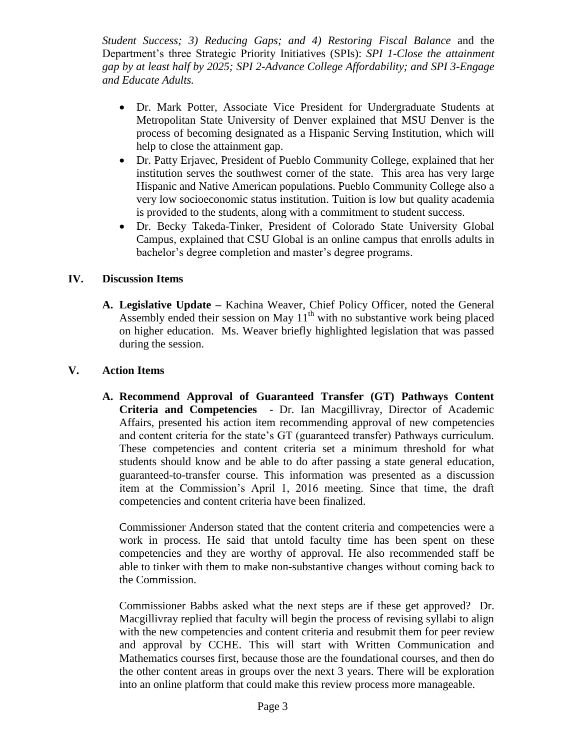*Student Success; 3) Reducing Gaps; and 4) Restoring Fiscal Balance* and the Department's three Strategic Priority Initiatives (SPIs): *SPI 1-Close the attainment gap by at least half by 2025; SPI 2-Advance College Affordability; and SPI 3-Engage and Educate Adults.*

- Dr. Mark Potter, Associate Vice President for Undergraduate Students at Metropolitan State University of Denver explained that MSU Denver is the process of becoming designated as a Hispanic Serving Institution, which will help to close the attainment gap.
- Dr. Patty Erjavec, President of Pueblo Community College, explained that her institution serves the southwest corner of the state. This area has very large Hispanic and Native American populations. Pueblo Community College also a very low socioeconomic status institution. Tuition is low but quality academia is provided to the students, along with a commitment to student success.
- Dr. Becky Takeda-Tinker, President of Colorado State University Global Campus, explained that CSU Global is an online campus that enrolls adults in bachelor's degree completion and master's degree programs.

# **IV. Discussion Items**

**A. Legislative Update –** Kachina Weaver, Chief Policy Officer, noted the General Assembly ended their session on May  $11<sup>th</sup>$  with no substantive work being placed on higher education. Ms. Weaver briefly highlighted legislation that was passed during the session.

# **V. Action Items**

**A. Recommend Approval of Guaranteed Transfer (GT) Pathways Content Criteria and Competencies** - Dr. Ian Macgillivray, Director of Academic Affairs, presented his action item recommending approval of new competencies and content criteria for the state's GT (guaranteed transfer) Pathways curriculum. These competencies and content criteria set a minimum threshold for what students should know and be able to do after passing a state general education, guaranteed-to-transfer course. This information was presented as a discussion item at the Commission's April 1, 2016 meeting. Since that time, the draft competencies and content criteria have been finalized.

Commissioner Anderson stated that the content criteria and competencies were a work in process. He said that untold faculty time has been spent on these competencies and they are worthy of approval. He also recommended staff be able to tinker with them to make non-substantive changes without coming back to the Commission.

Commissioner Babbs asked what the next steps are if these get approved? Dr. Macgillivray replied that faculty will begin the process of revising syllabi to align with the new competencies and content criteria and resubmit them for peer review and approval by CCHE. This will start with Written Communication and Mathematics courses first, because those are the foundational courses, and then do the other content areas in groups over the next 3 years. There will be exploration into an online platform that could make this review process more manageable.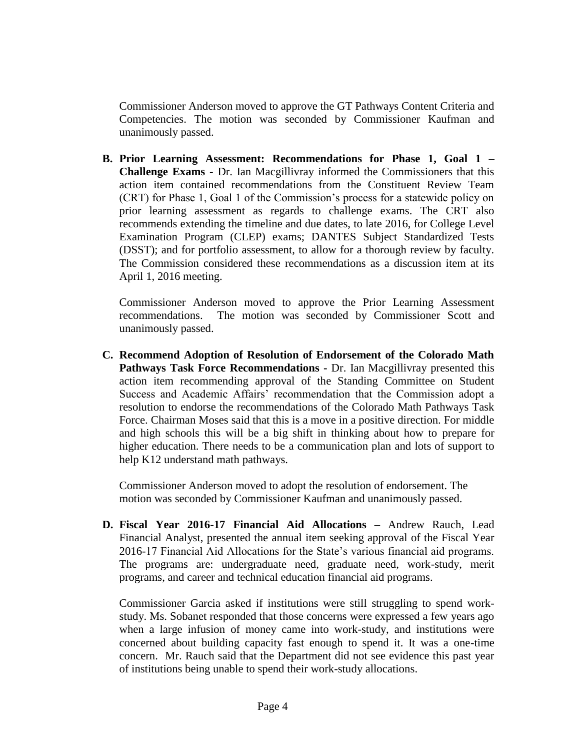Commissioner Anderson moved to approve the GT Pathways Content Criteria and Competencies. The motion was seconded by Commissioner Kaufman and unanimously passed.

**B. Prior Learning Assessment: Recommendations for Phase 1, Goal 1 – Challenge Exams -** Dr. Ian Macgillivray informed the Commissioners that this action item contained recommendations from the Constituent Review Team (CRT) for Phase 1, Goal 1 of the Commission's process for a statewide policy on prior learning assessment as regards to challenge exams. The CRT also recommends extending the timeline and due dates, to late 2016, for College Level Examination Program (CLEP) exams; DANTES Subject Standardized Tests (DSST); and for portfolio assessment, to allow for a thorough review by faculty. The Commission considered these recommendations as a discussion item at its April 1, 2016 meeting.

Commissioner Anderson moved to approve the Prior Learning Assessment recommendations. The motion was seconded by Commissioner Scott and unanimously passed.

**C. Recommend Adoption of Resolution of Endorsement of the Colorado Math Pathways Task Force Recommendations -** Dr. Ian Macgillivray presented this action item recommending approval of the Standing Committee on Student Success and Academic Affairs' recommendation that the Commission adopt a resolution to endorse the recommendations of the Colorado Math Pathways Task Force. Chairman Moses said that this is a move in a positive direction. For middle and high schools this will be a big shift in thinking about how to prepare for higher education. There needs to be a communication plan and lots of support to help K12 understand math pathways.

Commissioner Anderson moved to adopt the resolution of endorsement. The motion was seconded by Commissioner Kaufman and unanimously passed.

**D. Fiscal Year 2016-17 Financial Aid Allocations –** Andrew Rauch, Lead Financial Analyst, presented the annual item seeking approval of the Fiscal Year 2016-17 Financial Aid Allocations for the State's various financial aid programs. The programs are: undergraduate need, graduate need, work-study, merit programs, and career and technical education financial aid programs.

Commissioner Garcia asked if institutions were still struggling to spend workstudy. Ms. Sobanet responded that those concerns were expressed a few years ago when a large infusion of money came into work-study, and institutions were concerned about building capacity fast enough to spend it. It was a one-time concern. Mr. Rauch said that the Department did not see evidence this past year of institutions being unable to spend their work-study allocations.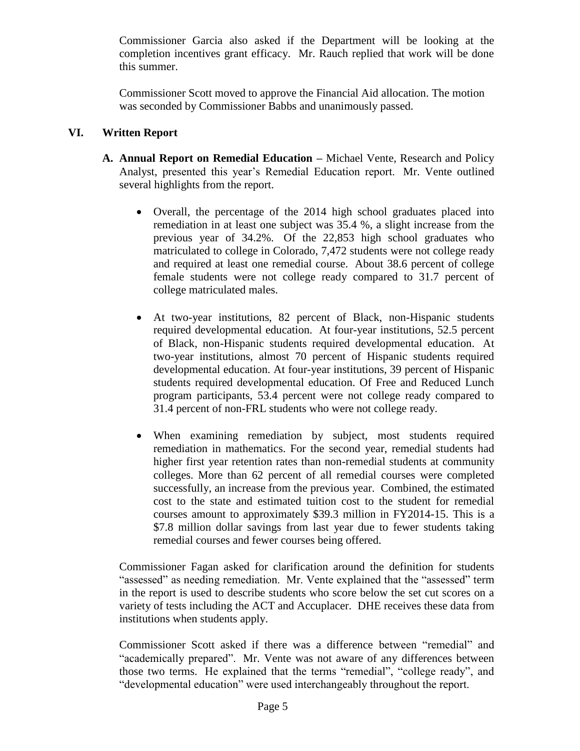Commissioner Garcia also asked if the Department will be looking at the completion incentives grant efficacy. Mr. Rauch replied that work will be done this summer.

Commissioner Scott moved to approve the Financial Aid allocation. The motion was seconded by Commissioner Babbs and unanimously passed.

## **VI. Written Report**

- **A. Annual Report on Remedial Education –** Michael Vente, Research and Policy Analyst, presented this year's Remedial Education report. Mr. Vente outlined several highlights from the report.
	- Overall, the percentage of the 2014 high school graduates placed into remediation in at least one subject was 35.4 %, a slight increase from the previous year of 34.2%. Of the 22,853 high school graduates who matriculated to college in Colorado, 7,472 students were not college ready and required at least one remedial course. About 38.6 percent of college female students were not college ready compared to 31.7 percent of college matriculated males.
	- At two-year institutions, 82 percent of Black, non-Hispanic students required developmental education. At four-year institutions, 52.5 percent of Black, non-Hispanic students required developmental education. At two-year institutions, almost 70 percent of Hispanic students required developmental education. At four-year institutions, 39 percent of Hispanic students required developmental education. Of Free and Reduced Lunch program participants, 53.4 percent were not college ready compared to 31.4 percent of non-FRL students who were not college ready.
	- When examining remediation by subject, most students required remediation in mathematics. For the second year, remedial students had higher first year retention rates than non-remedial students at community colleges. More than 62 percent of all remedial courses were completed successfully, an increase from the previous year. Combined, the estimated cost to the state and estimated tuition cost to the student for remedial courses amount to approximately \$39.3 million in FY2014-15. This is a \$7.8 million dollar savings from last year due to fewer students taking remedial courses and fewer courses being offered.

Commissioner Fagan asked for clarification around the definition for students "assessed" as needing remediation. Mr. Vente explained that the "assessed" term in the report is used to describe students who score below the set cut scores on a variety of tests including the ACT and Accuplacer. DHE receives these data from institutions when students apply.

Commissioner Scott asked if there was a difference between "remedial" and "academically prepared". Mr. Vente was not aware of any differences between those two terms. He explained that the terms "remedial", "college ready", and "developmental education" were used interchangeably throughout the report.